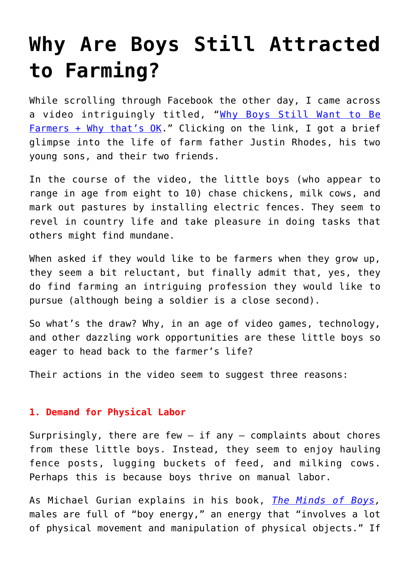# **[Why Are Boys Still Attracted](https://intellectualtakeout.org/2019/04/why-are-boys-still-attracted-to-farming/) [to Farming?](https://intellectualtakeout.org/2019/04/why-are-boys-still-attracted-to-farming/)**

While scrolling through Facebook the other day, I came across a video intriguingly titled, "[Why Boys Still Want to Be](https://www.youtube.com/watch?v=oIZS-2i5Lj4&fbclid=IwAR3RFiS5BeKrLd8vbhr48Q13sA_XZwODHJrrIE9DK-iX6erznS_roIrntlk) [Farmers + Why that's OK.](https://www.youtube.com/watch?v=oIZS-2i5Lj4&fbclid=IwAR3RFiS5BeKrLd8vbhr48Q13sA_XZwODHJrrIE9DK-iX6erznS_roIrntlk)" Clicking on the link, I got a brief glimpse into the life of farm father Justin Rhodes, his two young sons, and their two friends.

In the course of the video, the little boys (who appear to range in age from eight to 10) chase chickens, milk cows, and mark out pastures by installing electric fences. They seem to revel in country life and take pleasure in doing tasks that others might find mundane.

When asked if they would like to be farmers when they grow up, they seem a bit reluctant, but finally admit that, yes, they do find farming an intriguing profession they would like to pursue (although being a soldier is a close second).

So what's the draw? Why, in an age of video games, technology, and other dazzling work opportunities are these little boys so eager to head back to the farmer's life?

Their actions in the video seem to suggest three reasons:

### **1. Demand for Physical Labor**

Surprisingly, there are few  $-$  if any  $-$  complaints about chores from these little boys. Instead, they seem to enjoy hauling fence posts, lugging buckets of feed, and milking cows. Perhaps this is because boys thrive on manual labor.

As Michael Gurian explains in his book, *[The Minds of Boys,](https://www.amazon.com/gp/product/0787995282/ref=as_li_qf_asin_il_tl?ie=UTF8&tag=intelltakeo0d-20&creative=9325&linkCode=as2&creativeASIN=0787995282&linkId=7063f893e6c7775daf1cc3cecaf6d53e)* males are full of "boy energy," an energy that "involves a lot of physical movement and manipulation of physical objects." If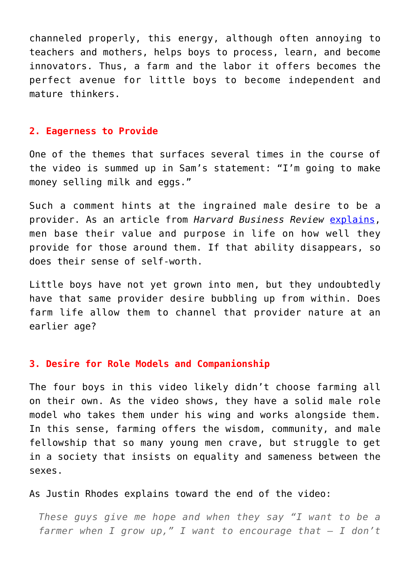channeled properly, this energy, although often annoying to teachers and mothers, helps boys to process, learn, and become innovators. Thus, a farm and the labor it offers becomes the perfect avenue for little boys to become independent and mature thinkers.

#### **2. Eagerness to Provide**

One of the themes that surfaces several times in the course of the video is summed up in Sam's statement: "I'm going to make money selling milk and eggs."

Such a comment hints at the ingrained male desire to be a provider. As an article from *Harvard Business Review* [explains,](https://hbr.org/1993/11/what-do-men-want) men base their value and purpose in life on how well they provide for those around them. If that ability disappears, so does their sense of self-worth.

Little boys have not yet grown into men, but they undoubtedly have that same provider desire bubbling up from within. Does farm life allow them to channel that provider nature at an earlier age?

#### **3. Desire for Role Models and Companionship**

The four boys in this video likely didn't choose farming all on their own. As the video shows, they have a solid male role model who takes them under his wing and works alongside them. In this sense, farming offers the wisdom, community, and male fellowship that so many young men crave, but struggle to get in a society that insists on equality and sameness between the sexes.

## As Justin Rhodes explains toward the end of the video:

*These guys give me hope and when they say "I want to be a farmer when I grow up," I want to encourage that – I don't*